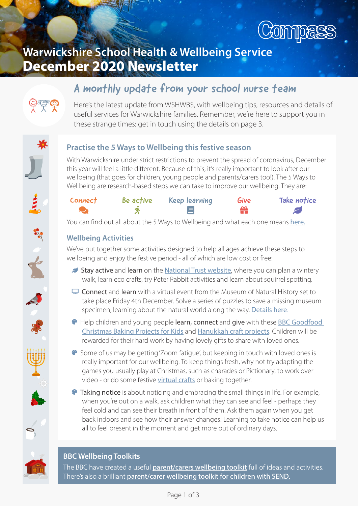

# Warwickshire School Health & Wellbeing Service December 2020 Newsletter

## A monthly update from your school nurse team



Here's the latest update from WSHWBS, with wellbeing tips, resources and details of useful services for Warwickshire families. Remember, we're here to support you in these strange times: get in touch using the details on page 3.

E<br>E<br>S

### Practise the 5 Ways to Wellbeing this festive season

With Warwickshire under strict restrictions to prevent the spread of coronavirus, December this year will feel a little different. Because of this, it's really important to look after our wellbeing (that goes for children, young people and parents/carers too!). The 5 Ways to Wellbeing are research-based steps we can take to improve our wellbeing. They are:



You can find out all about the 5 Ways to Wellbeing and what each one means [here.](https://cutt.ly/3hgtMh7)

### Wellbeing Activities

We've put together some activities designed to help all ages achieve these steps to wellbeing and enjoy the festive period - all of which are low cost or free:

- Stay active and learn on the [National Trust website](https://cutt.ly/3hfXL6M), where you can plan a wintery walk, learn eco crafts, try Peter Rabbit activities and learn about squirrel spotting.
- $\Box$  Connect and learn with a virtual event from the Museum of Natural History set to take place Friday 4th December. Solve a series of puzzles to save a missing museum specimen, learning about the natural world along the way. [Details here.](https://cutt.ly/yhfCAps)
- **<sup>®</sup>** Help children and young people learn, connect and give with these **BBC Goodfood** [Christmas Baking Projects for Kids](https://cutt.ly/khfBoDT) and [Hanukkah craft projects.](https://cutt.ly/ghfM6Xq) Children will be rewarded for their hard work by having lovely gifts to share with loved ones.
- Some of us may be getting 'Zoom fatigue', but keeping in touch with loved ones is really important for our wellbeing. To keep things fresh, why not try adapting the games you usually play at Christmas, such as charades or Pictionary, to work over video - or do some festive [virtual crafts](https://cutt.ly/2hkfcgI) or baking together.
- **Taking notice** is about noticing and embracing the small things in life. For example, when you're out on a walk, ask children what they can see and feel - perhaps they feel cold and can see their breath in front of them. Ask them again when you get back indoors and see how their answer changes! Learning to take notice can help us all to feel present in the moment and get more out of ordinary days.

#### BBC Wellbeing Toolkits

The BBC have created a useful [parent/carers wellbeing toolkit](https://cutt.ly/xhga6JJ) full of ideas and activities. There's also a brilliant [parent/carer wellbeing toolkit for children with SEND.](https://cutt.ly/Lhga4dW)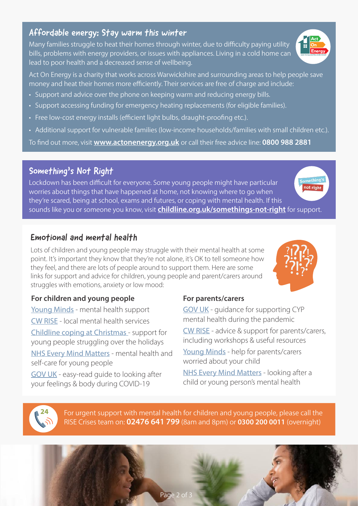#### Affordable energy: Stay warm this winter

Many families struggle to heat their homes through winter, due to difficulty paying utility bills, problems with energy providers, or issues with appliances. Living in a cold home can lead to poor health and a decreased sense of wellbeing.

Act On Energy is a charity that works across Warwickshire and surrounding areas to help people save money and heat their homes more efficiently. Their services are free of charge and include:

- Support and advice over the phone on keeping warm and reducing energy bills.
- Support accessing funding for emergency heating replacements (for eligible families).
- Free low-cost energy installs (efficient light bulbs, draught-proofing etc.).
- Additional support for vulnerable families (low-income households/families with small children etc.).

To find out more, visit **www.actonenergy.org.uk** or call their free advice line: 0800 988 2881

### Something's Not Right

Lockdown has been difficult for everyone. Some young people might have particular worries about things that have happened at home, not knowing where to go when they're scared, being at school, exams and futures, or coping with mental health. If this sounds like you or someone you know, visit **[childline.org.uk/somethings-not-right](http://childline.org.uk/somethings-not-right)** for support.

### Emotional and mental health

Lots of children and young people may struggle with their mental health at some point. It's important they know that they're not alone, it's OK to tell someone how they feel, and there are lots of people around to support them. Here are some links for support and advice for children, young people and parent/carers around struggles with emotions, anxiety or low mood:

#### For children and young people

[Young Minds](https://cutt.ly/bhkt0Pa) - mental health support [CW RISE](https://cutt.ly/7hkt9hv) - local mental health services [Childline coping at Christmas](https://cutt.ly/Chkt4ME) - support for young people struggling over the holidays [NHS Every Mind Matters](https://cutt.ly/fhkt6aP) - mental health and self-care for young people

[GOV UK - easy-read guide to looking after](https://cutt.ly/EhkyPJT)  [your feelings & body during COVID-19](https://cutt.ly/EhkyPJT)

24

#### For parents/carers

GOV UK [- guidance for supporting CYP](https://cutt.ly/gov-uk-covid-supporting-cyp-mental-health)  [mental health during the pandemic](https://cutt.ly/gov-uk-covid-supporting-cyp-mental-health) [CW RISE - advice & support for parents/carers,](https://cutt.ly/WhkyJEv) including workshops & useful resources Young Minds [- help for parents/carers](https://cutt.ly/ahky0hv)  [worried about your child](https://cutt.ly/ahky0hv) [NHS Every Mind Matters](https://cutt.ly/Chky7wq) - looking after a

child or young person's mental health

For urgent support with mental health for children and young people, please call the RISE Crises team on: **02476 641 799** (8am and 8pm) or **0300 200 0011** (overnight)